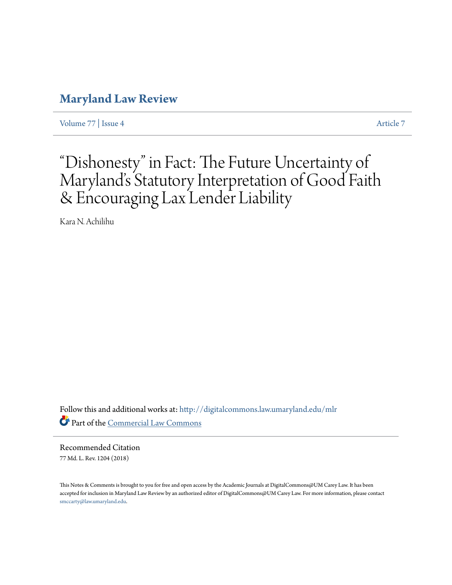# **[Maryland Law Review](http://digitalcommons.law.umaryland.edu/mlr?utm_source=digitalcommons.law.umaryland.edu%2Fmlr%2Fvol77%2Fiss4%2F7&utm_medium=PDF&utm_campaign=PDFCoverPages)**

[Volume 77](http://digitalcommons.law.umaryland.edu/mlr/vol77?utm_source=digitalcommons.law.umaryland.edu%2Fmlr%2Fvol77%2Fiss4%2F7&utm_medium=PDF&utm_campaign=PDFCoverPages) | [Issue 4](http://digitalcommons.law.umaryland.edu/mlr/vol77/iss4?utm_source=digitalcommons.law.umaryland.edu%2Fmlr%2Fvol77%2Fiss4%2F7&utm_medium=PDF&utm_campaign=PDFCoverPages) [Article 7](http://digitalcommons.law.umaryland.edu/mlr/vol77/iss4/7?utm_source=digitalcommons.law.umaryland.edu%2Fmlr%2Fvol77%2Fiss4%2F7&utm_medium=PDF&utm_campaign=PDFCoverPages)

# "Dishonesty" in Fact: The Future Uncertainty of Maryland's Statutory Interpretation of Good Faith & Encouraging Lax Lender Liability

Kara N. Achilihu

Follow this and additional works at: [http://digitalcommons.law.umaryland.edu/mlr](http://digitalcommons.law.umaryland.edu/mlr?utm_source=digitalcommons.law.umaryland.edu%2Fmlr%2Fvol77%2Fiss4%2F7&utm_medium=PDF&utm_campaign=PDFCoverPages) Part of the [Commercial Law Commons](http://network.bepress.com/hgg/discipline/586?utm_source=digitalcommons.law.umaryland.edu%2Fmlr%2Fvol77%2Fiss4%2F7&utm_medium=PDF&utm_campaign=PDFCoverPages)

Recommended Citation 77 Md. L. Rev. 1204 (2018)

This Notes & Comments is brought to you for free and open access by the Academic Journals at DigitalCommons@UM Carey Law. It has been accepted for inclusion in Maryland Law Review by an authorized editor of DigitalCommons@UM Carey Law. For more information, please contact [smccarty@law.umaryland.edu.](mailto:smccarty@law.umaryland.edu)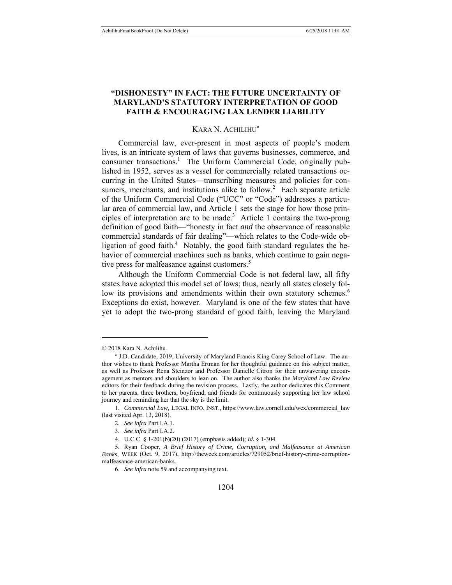# **"DISHONESTY" IN FACT: THE FUTURE UNCERTAINTY OF MARYLAND'S STATUTORY INTERPRETATION OF GOOD FAITH & ENCOURAGING LAX LENDER LIABILITY**

#### KARA N. ACHILIHU

Commercial law, ever-present in most aspects of people's modern lives, is an intricate system of laws that governs businesses, commerce, and consumer transactions.<sup>1</sup> The Uniform Commercial Code, originally published in 1952, serves as a vessel for commercially related transactions occurring in the United States—transcribing measures and policies for consumers, merchants, and institutions alike to follow.<sup>2</sup> Each separate article of the Uniform Commercial Code ("UCC" or "Code") addresses a particular area of commercial law, and Article 1 sets the stage for how those principles of interpretation are to be made.<sup>3</sup> Article 1 contains the two-prong definition of good faith—"honesty in fact *and* the observance of reasonable commercial standards of fair dealing"—which relates to the Code-wide obligation of good faith.<sup>4</sup> Notably, the good faith standard regulates the behavior of commercial machines such as banks, which continue to gain negative press for malfeasance against customers.<sup>5</sup>

Although the Uniform Commercial Code is not federal law, all fifty states have adopted this model set of laws; thus, nearly all states closely follow its provisions and amendments within their own statutory schemes.<sup>6</sup> Exceptions do exist, however. Maryland is one of the few states that have yet to adopt the two-prong standard of good faith, leaving the Maryland

<sup>© 2018</sup> Kara N. Achilihu.

<sup>\*</sup> J.D. Candidate, 2019, University of Maryland Francis King Carey School of Law. The author wishes to thank Professor Martha Ertman for her thoughtful guidance on this subject matter, as well as Professor Rena Steinzor and Professor Danielle Citron for their unwavering encouragement as mentors and shoulders to lean on. The author also thanks the *Maryland Law Review* editors for their feedback during the revision process. Lastly, the author dedicates this Comment to her parents, three brothers, boyfriend, and friends for continuously supporting her law school journey and reminding her that the sky is the limit.

 <sup>1.</sup> *Commercial Law*, LEGAL INFO. INST., https://www.law.cornell.edu/wex/commercial\_law (last visited Apr. 13, 2018).

 <sup>2.</sup> *See infra* Part I.A.1.

 <sup>3.</sup> *See infra* Part I.A.2.

 <sup>4.</sup> U.C.C. § 1-201(b)(20) (2017) (emphasis added); *Id.* § 1-304.

 <sup>5.</sup> Ryan Cooper, *A Brief History of Crime, Corruption, and Malfeasance at American Banks*, WEEK (Oct. 9, 2017), http://theweek.com/articles/729052/brief-history-crime-corruptionmalfeasance-american-banks.

 <sup>6.</sup> *See infra* note 59 and accompanying text.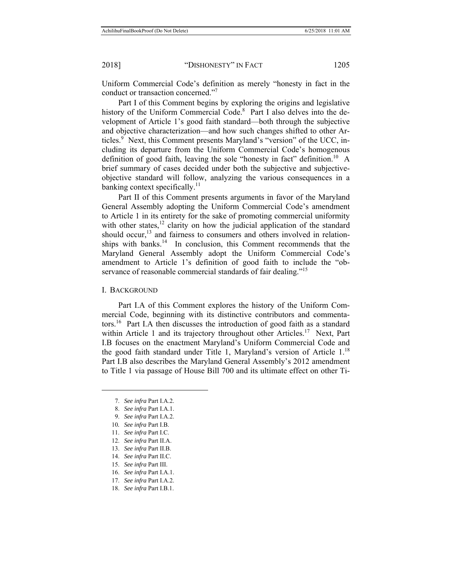Uniform Commercial Code's definition as merely "honesty in fact in the conduct or transaction concerned."<sup>7</sup>

Part I of this Comment begins by exploring the origins and legislative history of the Uniform Commercial Code.<sup>8</sup> Part I also delves into the development of Article 1's good faith standard—both through the subjective and objective characterization—and how such changes shifted to other Articles.<sup>9</sup> Next, this Comment presents Maryland's "version" of the UCC, including its departure from the Uniform Commercial Code's homogenous definition of good faith, leaving the sole "honesty in fact" definition.<sup>10</sup> A brief summary of cases decided under both the subjective and subjectiveobjective standard will follow, analyzing the various consequences in a banking context specifically.<sup>11</sup>

Part II of this Comment presents arguments in favor of the Maryland General Assembly adopting the Uniform Commercial Code's amendment to Article 1 in its entirety for the sake of promoting commercial uniformity with other states, $12$  clarity on how the judicial application of the standard should occur,<sup>13</sup> and fairness to consumers and others involved in relationships with banks.<sup>14</sup> In conclusion, this Comment recommends that the Maryland General Assembly adopt the Uniform Commercial Code's amendment to Article 1's definition of good faith to include the "observance of reasonable commercial standards of fair dealing."<sup>15</sup>

I. BACKGROUND

Part I.A of this Comment explores the history of the Uniform Commercial Code, beginning with its distinctive contributors and commentators.<sup>16</sup> Part I.A then discusses the introduction of good faith as a standard within Article 1 and its trajectory throughout other Articles.<sup>17</sup> Next, Part I.B focuses on the enactment Maryland's Uniform Commercial Code and the good faith standard under Title 1, Maryland's version of Article  $1.^{18}$ Part I.B also describes the Maryland General Assembly's 2012 amendment to Title 1 via passage of House Bill 700 and its ultimate effect on other Ti-

- 15. *See infra* Part III.
- 16. *See infra* Part I.A.1.
- 17. *See infra* Part I.A.2.

 <sup>7.</sup> *See infra* Part I.A.2.

 <sup>8.</sup> *See infra* Part I.A.1.

 <sup>9.</sup> *See infra* Part I.A.2.

<sup>10</sup>*. See infra* Part I.B.

 <sup>11.</sup> *See infra* Part I.C.

 <sup>12.</sup> *See infra* Part II.A.

 <sup>13.</sup> *See infra* Part II.B.

 <sup>14.</sup> *See infra* Part II.C.

 <sup>18.</sup> *See infra* Part I.B.1.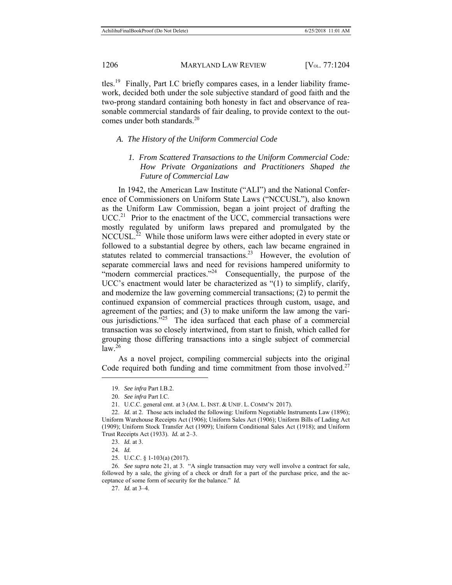tles.19 Finally, Part I.C briefly compares cases, in a lender liability framework, decided both under the sole subjective standard of good faith and the two-prong standard containing both honesty in fact and observance of reasonable commercial standards of fair dealing, to provide context to the outcomes under both standards.<sup>20</sup>

### *A. The History of the Uniform Commercial Code*

*1. From Scattered Transactions to the Uniform Commercial Code: How Private Organizations and Practitioners Shaped the Future of Commercial Law* 

In 1942, the American Law Institute ("ALI") and the National Conference of Commissioners on Uniform State Laws ("NCCUSL"), also known as the Uniform Law Commission, began a joint project of drafting the  $UCC<sup>21</sup>$  Prior to the enactment of the UCC, commercial transactions were mostly regulated by uniform laws prepared and promulgated by the NCCUSL.<sup>22</sup> While those uniform laws were either adopted in every state or followed to a substantial degree by others, each law became engrained in statutes related to commercial transactions.<sup>23</sup> However, the evolution of separate commercial laws and need for revisions hampered uniformity to "modern commercial practices."<sup>24</sup> Consequentially, the purpose of the UCC's enactment would later be characterized as "(1) to simplify, clarify, and modernize the law governing commercial transactions; (2) to permit the continued expansion of commercial practices through custom, usage, and agreement of the parties; and (3) to make uniform the law among the various jurisdictions."25 The idea surfaced that each phase of a commercial transaction was so closely intertwined, from start to finish, which called for grouping those differing transactions into a single subject of commercial  $\text{law}^{\,26}$ 

As a novel project, compiling commercial subjects into the original Code required both funding and time commitment from those involved.<sup>27</sup>

 <sup>19.</sup> *See infra* Part I.B.2.

 <sup>20.</sup> *See infra* Part I.C.

 <sup>21.</sup> U.C.C. general cmt. at 3 (AM. L. INST. & UNIF. L. COMM'N 2017).

 <sup>22.</sup> *Id.* at 2. Those acts included the following: Uniform Negotiable Instruments Law (1896); Uniform Warehouse Receipts Act (1906); Uniform Sales Act (1906); Uniform Bills of Lading Act (1909); Uniform Stock Transfer Act (1909); Uniform Conditional Sales Act (1918); and Uniform Trust Receipts Act (1933). *Id.* at 2–3.

 <sup>23.</sup> *Id.* at 3.

 <sup>24.</sup> *Id.*

 <sup>25.</sup> U.C.C. § 1-103(a) (2017).

 <sup>26.</sup> *See supra* note 21, at 3. "A single transaction may very well involve a contract for sale, followed by a sale, the giving of a check or draft for a part of the purchase price, and the acceptance of some form of security for the balance." *Id.* 

 <sup>27.</sup> *Id.* at 3–4.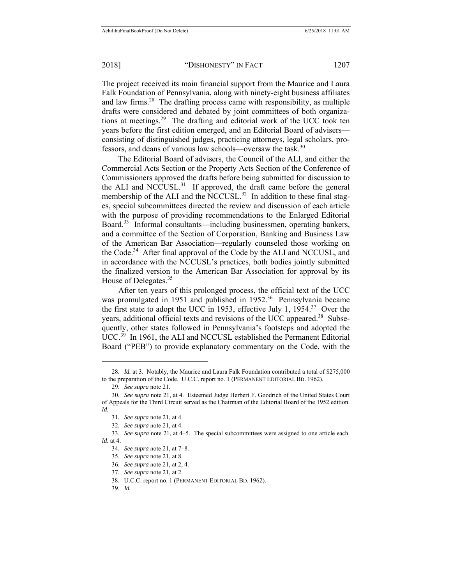The project received its main financial support from the Maurice and Laura Falk Foundation of Pennsylvania, along with ninety-eight business affiliates and law firms.<sup>28</sup> The drafting process came with responsibility, as multiple drafts were considered and debated by joint committees of both organizations at meetings.<sup>29</sup> The drafting and editorial work of the UCC took ten years before the first edition emerged, and an Editorial Board of advisers consisting of distinguished judges, practicing attorneys, legal scholars, professors, and deans of various law schools—oversaw the task.<sup>30</sup>

The Editorial Board of advisers, the Council of the ALI, and either the Commercial Acts Section or the Property Acts Section of the Conference of Commissioners approved the drafts before being submitted for discussion to the ALI and NCCUSL. $31$  If approved, the draft came before the general membership of the ALI and the NCCUSL.<sup>32</sup> In addition to these final stages, special subcommittees directed the review and discussion of each article with the purpose of providing recommendations to the Enlarged Editorial Board.<sup>33</sup> Informal consultants—including businessmen, operating bankers, and a committee of the Section of Corporation, Banking and Business Law of the American Bar Association—regularly counseled those working on the Code.<sup>34</sup> After final approval of the Code by the ALI and NCCUSL, and in accordance with the NCCUSL's practices, both bodies jointly submitted the finalized version to the American Bar Association for approval by its House of Delegates.<sup>35</sup>

After ten years of this prolonged process, the official text of the UCC was promulgated in 1951 and published in 1952.<sup>36</sup> Pennsylvania became the first state to adopt the UCC in 1953, effective July 1, 1954.37 Over the years, additional official texts and revisions of the UCC appeared.<sup>38</sup> Subsequently, other states followed in Pennsylvania's footsteps and adopted the UCC.<sup>39</sup> In 1961, the ALI and NCCUSL established the Permanent Editorial Board ("PEB") to provide explanatory commentary on the Code, with the

 <sup>28.</sup> *Id.* at 3. Notably, the Maurice and Laura Falk Foundation contributed a total of \$275,000 to the preparation of the Code. U.C.C. report no. 1 (PERMANENT EDITORIAL BD. 1962).

 <sup>29.</sup> *See supra* note 21.

 <sup>30.</sup> *See supra* note 21, at 4.Esteemed Judge Herbert F. Goodrich of the United States Court of Appeals for the Third Circuit served as the Chairman of the Editorial Board of the 1952 edition. *Id.* 

<sup>31</sup>*. See supra* note 21, at 4.

 <sup>32.</sup> *See supra* note 21, at 4.

 <sup>33.</sup> *See supra* note 21, at 4–5. The special subcommittees were assigned to one article each. *Id.* at 4.

 <sup>34.</sup> *See supra* note 21, at 7–8.

 <sup>35.</sup> *See supra* note 21, at 8.

 <sup>36.</sup> *See supra* note 21, at 2, 4.

 <sup>37.</sup> *See supra* note 21, at 2.

 <sup>38.</sup> U.C.C. report no. 1 (PERMANENT EDITORIAL BD. 1962).

 <sup>39.</sup> *Id.*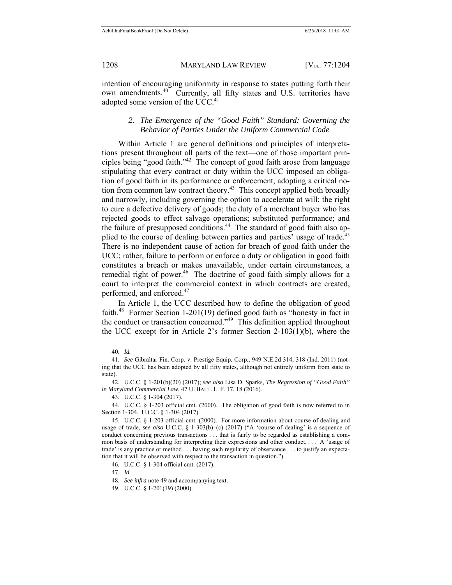intention of encouraging uniformity in response to states putting forth their own amendments.<sup>40</sup> Currently, all fifty states and U.S. territories have adopted some version of the UCC.<sup>41</sup>

### *2. The Emergence of the "Good Faith" Standard: Governing the Behavior of Parties Under the Uniform Commercial Code*

Within Article 1 are general definitions and principles of interpretations present throughout all parts of the text—one of those important principles being "good faith."42 The concept of good faith arose from language stipulating that every contract or duty within the UCC imposed an obligation of good faith in its performance or enforcement, adopting a critical notion from common law contract theory.<sup>43</sup> This concept applied both broadly and narrowly, including governing the option to accelerate at will; the right to cure a defective delivery of goods; the duty of a merchant buyer who has rejected goods to effect salvage operations; substituted performance; and the failure of presupposed conditions.<sup>44</sup> The standard of good faith also applied to the course of dealing between parties and parties' usage of trade.<sup>45</sup> There is no independent cause of action for breach of good faith under the UCC; rather, failure to perform or enforce a duty or obligation in good faith constitutes a breach or makes unavailable, under certain circumstances, a remedial right of power.<sup>46</sup> The doctrine of good faith simply allows for a court to interpret the commercial context in which contracts are created, performed, and enforced.47

In Article 1, the UCC described how to define the obligation of good faith.<sup>48</sup> Former Section 1-201(19) defined good faith as "honesty in fact in the conduct or transaction concerned."49 This definition applied throughout the UCC except for in Article 2's former Section 2-103(1)(b), where the

 $\overline{a}$ 

47. *Id.*

 <sup>40.</sup> *Id.* 

 <sup>41.</sup> *See* Gibraltar Fin. Corp. v. Prestige Equip. Corp., 949 N.E.2d 314, 318 (Ind. 2011) (noting that the UCC has been adopted by all fifty states, although not entirely uniform from state to state).

 <sup>42.</sup> U.C.C. § 1-201(b)(20) (2017); *see also* Lisa D. Sparks, *The Regression of "Good Faith" in Maryland Commercial Law*, 47 U. BALT. L. F. 17, 18 (2016).

 <sup>43.</sup> U.C.C. § 1-304 (2017).

 <sup>44.</sup> U.C.C*.* § 1-203 official cmt. (2000). The obligation of good faith is now referred to in Section 1-304. U.C.C*.* § 1-304 (2017).

 <sup>45.</sup> U.C.C*.* § 1-203 official cmt. (2000). For more information about course of dealing and usage of trade, *see also* U.C.C. § 1-303(b)–(c) (2017) ("A 'course of dealing' is a sequence of conduct concerning previous transactions . . . that is fairly to be regarded as establishing a common basis of understanding for interpreting their expressions and other conduct. . . . A 'usage of trade' is any practice or method . . . having such regularity of observance . . . to justify an expectation that it will be observed with respect to the transaction in question.").

 <sup>46.</sup> U.C.C. § 1-304 official cmt. (2017).

 <sup>48.</sup> *See infra* note 49 and accompanying text.

 <sup>49.</sup> U.C.C. § 1-201(19) (2000).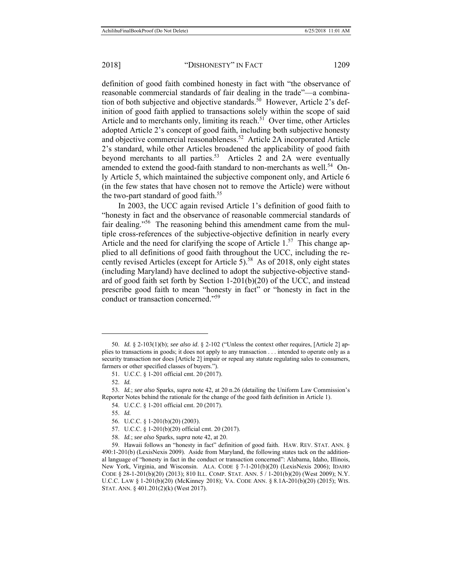definition of good faith combined honesty in fact with "the observance of reasonable commercial standards of fair dealing in the trade"—a combination of both subjective and objective standards.<sup>50</sup> However, Article 2's definition of good faith applied to transactions solely within the scope of said Article and to merchants only, limiting its reach.<sup>51</sup> Over time, other Articles adopted Article 2's concept of good faith, including both subjective honesty and objective commercial reasonableness.<sup>52</sup> Article 2A incorporated Article 2's standard, while other Articles broadened the applicability of good faith beyond merchants to all parties.<sup>53</sup> Articles 2 and 2A were eventually amended to extend the good-faith standard to non-merchants as well.<sup>54</sup> Only Article 5, which maintained the subjective component only, and Article 6 (in the few states that have chosen not to remove the Article) were without the two-part standard of good faith.<sup>55</sup>

In 2003, the UCC again revised Article 1's definition of good faith to "honesty in fact and the observance of reasonable commercial standards of fair dealing."56 The reasoning behind this amendment came from the multiple cross-references of the subjective-objective definition in nearly every Article and the need for clarifying the scope of Article  $1.57$  This change applied to all definitions of good faith throughout the UCC, including the recently revised Articles (except for Article 5).<sup>58</sup> As of 2018, only eight states (including Maryland) have declined to adopt the subjective-objective standard of good faith set forth by Section 1-201(b)(20) of the UCC, and instead prescribe good faith to mean "honesty in fact" or "honesty in fact in the conduct or transaction concerned."59

 <sup>50.</sup> *Id.* § 2-103(1)(b); *see also id*. § 2-102 ("Unless the context other requires, [Article 2] applies to transactions in goods; it does not apply to any transaction . . . intended to operate only as a security transaction nor does [Article 2] impair or repeal any statute regulating sales to consumers, farmers or other specified classes of buyers.").

 <sup>51.</sup> U.C.C. § 1-201 official cmt. 20 (2017).

 <sup>52.</sup> *Id.*

 <sup>53.</sup> *Id.*; *see also* Sparks, *supra* note 42, at 20 n.26 (detailing the Uniform Law Commission's Reporter Notes behind the rationale for the change of the good faith definition in Article 1).

 <sup>54.</sup> U.C.C. § 1-201 official cmt. 20 (2017).

 <sup>55.</sup> *Id.*

 <sup>56.</sup> U*.*C.C. § 1-201(b)(20) (2003).

 <sup>57.</sup> U.C.C. § 1-201(b)(20) official cmt. 20 (2017).

 <sup>58.</sup> *Id.*; *see also* Sparks, *supra* note 42, at 20.

 <sup>59.</sup> Hawaii follows an "honesty in fact" definition of good faith. HAW. REV. STAT. ANN. § 490:1-201(b) (LexisNexis 2009). Aside from Maryland, the following states tack on the additional language of "honesty in fact in the conduct or transaction concerned": Alabama, Idaho, Illinois, New York, Virginia, and Wisconsin. ALA. CODE § 7-1-201(b)(20) (LexisNexis 2006); IDAHO CODE § 28-1-201(b)(20) (2013); 810 ILL. COMP. STAT. ANN. 5 / 1-201(b)(20) (West 2009); N.Y. U.C.C. LAW § 1-201(b)(20) (McKinney 2018); VA. CODE ANN. § 8.1A-201(b)(20) (2015); WIS. STAT. ANN. § 401.201(2)(k) (West 2017).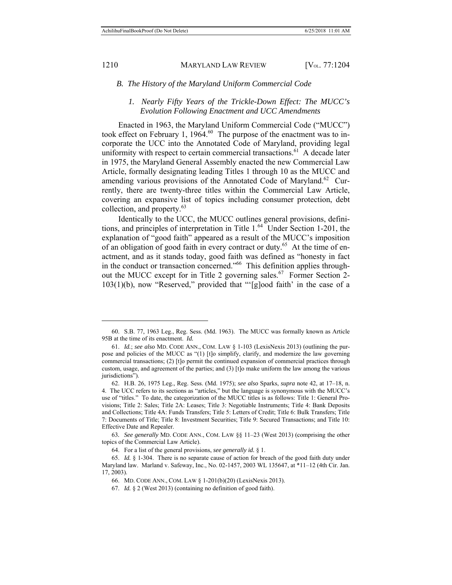$\overline{a}$ 

#### 1210 MARYLAND LAW REVIEW [V<sub>OL.</sub> 77:1204]

#### *B. The History of the Maryland Uniform Commercial Code*

### *1. Nearly Fifty Years of the Trickle-Down Effect: The MUCC's Evolution Following Enactment and UCC Amendments*

Enacted in 1963, the Maryland Uniform Commercial Code ("MUCC") took effect on February 1, 1964.<sup>60</sup> The purpose of the enactment was to incorporate the UCC into the Annotated Code of Maryland, providing legal uniformity with respect to certain commercial transactions.<sup>61</sup> A decade later in 1975, the Maryland General Assembly enacted the new Commercial Law Article, formally designating leading Titles 1 through 10 as the MUCC and amending various provisions of the Annotated Code of Maryland.<sup>62</sup> Currently, there are twenty-three titles within the Commercial Law Article, covering an expansive list of topics including consumer protection, debt collection, and property.63

Identically to the UCC, the MUCC outlines general provisions, definitions, and principles of interpretation in Title 1.<sup>64</sup> Under Section 1-201, the explanation of "good faith" appeared as a result of the MUCC's imposition of an obligation of good faith in every contract or duty.<sup>65</sup> At the time of enactment, and as it stands today, good faith was defined as "honesty in fact in the conduct or transaction concerned."66 This definition applies throughout the MUCC except for in Title 2 governing sales.<sup>67</sup> Former Section 2-103(1)(b), now "Reserved," provided that "'[g]ood faith' in the case of a

 <sup>60.</sup> S.B. 77, 1963 Leg., Reg. Sess. (Md. 1963). The MUCC was formally known as Article 95B at the time of its enactment. *Id.*

 <sup>61.</sup> *Id.*; *see also* MD. CODE ANN., COM. LAW § 1-103 (LexisNexis 2013) (outlining the purpose and policies of the MUCC as "(1) [t]o simplify, clarify, and modernize the law governing commercial transactions; (2) [t]o permit the continued expansion of commercial practices through custom, usage, and agreement of the parties; and (3) [t]o make uniform the law among the various jurisdictions").

 <sup>62.</sup> H.B. 26, 1975 Leg., Reg. Sess. (Md. 1975); *see also* Sparks, *supra* note 42, at 17–18, n. 4. The UCC refers to its sections as "articles," but the language is synonymous with the MUCC's use of "titles." To date, the categorization of the MUCC titles is as follows: Title 1: General Provisions; Title 2: Sales; Title 2A: Leases; Title 3: Negotiable Instruments; Title 4: Bank Deposits and Collections; Title 4A: Funds Transfers; Title 5: Letters of Credit; Title 6: Bulk Transfers; Title 7: Documents of Title; Title 8: Investment Securities; Title 9: Secured Transactions; and Title 10: Effective Date and Repealer.

<sup>63</sup>*. See generally* MD. CODE ANN., COM. LAW §§ 11–23 (West 2013) (comprising the other topics of the Commercial Law Article).

 <sup>64.</sup> For a list of the general provisions, *see generally id.* § 1.

 <sup>65.</sup> *Id.* § 1-304. There is no separate cause of action for breach of the good faith duty under Maryland law. Marland v. Safeway, Inc., No. 02-1457, 2003 WL 135647, at \*11–12 (4th Cir. Jan. 17, 2003).

 <sup>66.</sup> MD. CODE ANN., COM. LAW § 1-201(b)(20) (LexisNexis 2013).

 <sup>67.</sup> *Id.* § 2 (West 2013) (containing no definition of good faith).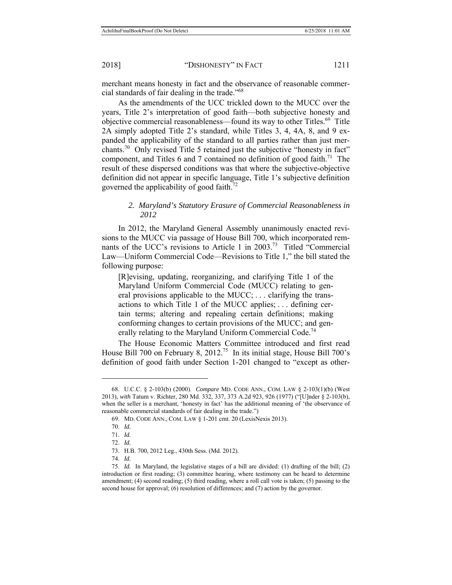merchant means honesty in fact and the observance of reasonable commercial standards of fair dealing in the trade."68

As the amendments of the UCC trickled down to the MUCC over the years, Title 2's interpretation of good faith—both subjective honesty and objective commercial reasonableness—found its way to other Titles.<sup>69</sup> Title 2A simply adopted Title 2's standard, while Titles 3, 4, 4A, 8, and 9 expanded the applicability of the standard to all parties rather than just merchants.70 Only revised Title 5 retained just the subjective "honesty in fact" component, and Titles 6 and 7 contained no definition of good faith.<sup>71</sup> The result of these dispersed conditions was that where the subjective-objective definition did not appear in specific language, Title 1's subjective definition governed the applicability of good faith.<sup>72</sup>

### *2. Maryland's Statutory Erasure of Commercial Reasonableness in 2012*

In 2012, the Maryland General Assembly unanimously enacted revisions to the MUCC via passage of House Bill 700, which incorporated remnants of the UCC's revisions to Article 1 in 2003.<sup>73</sup> Titled "Commercial" Law—Uniform Commercial Code—Revisions to Title 1," the bill stated the following purpose:

[R]evising, updating, reorganizing, and clarifying Title 1 of the Maryland Uniform Commercial Code (MUCC) relating to general provisions applicable to the MUCC; . . . clarifying the transactions to which Title 1 of the MUCC applies; . . . defining certain terms; altering and repealing certain definitions; making conforming changes to certain provisions of the MUCC; and generally relating to the Maryland Uniform Commercial Code.<sup>74</sup>

The House Economic Matters Committee introduced and first read House Bill 700 on February 8, 2012.<sup>75</sup> In its initial stage, House Bill 700's definition of good faith under Section 1-201 changed to "except as other-

 <sup>68.</sup> U.C.C. § 2-103(b) (2000). *Compare* MD. CODE ANN., COM. LAW § 2-103(1)(b) (West 2013), *with* Tatum v. Richter, 280 Md. 332, 337, 373 A.2d 923, 926 (1977) ("[U]nder § 2-103(b), when the seller is a merchant, 'honesty in fact' has the additional meaning of 'the observance of reasonable commercial standards of fair dealing in the trade.")

 <sup>69.</sup> MD. CODE ANN., COM. LAW § 1-201 cmt. 20 (LexisNexis 2013).

 <sup>70.</sup> *Id.*

 <sup>71.</sup> *Id.*

 <sup>72.</sup> *Id.*

 <sup>73.</sup> H.B. 700, 2012 Leg., 430th Sess. (Md. 2012).

 <sup>74.</sup> *Id.* 

 <sup>75.</sup> *Id.* In Maryland, the legislative stages of a bill are divided: (1) drafting of the bill; (2) introduction or first reading; (3) committee hearing, where testimony can be heard to determine amendment; (4) second reading; (5) third reading, where a roll call vote is taken; (5) passing to the second house for approval; (6) resolution of differences; and (7) action by the governor.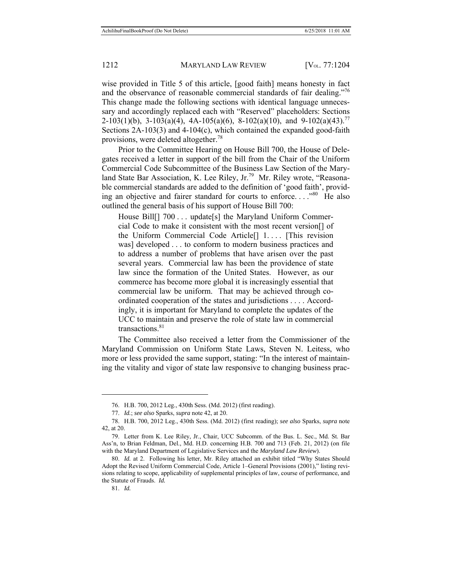wise provided in Title 5 of this article, [good faith] means honesty in fact and the observance of reasonable commercial standards of fair dealing."<sup>76</sup> This change made the following sections with identical language unnecessary and accordingly replaced each with "Reserved" placeholders: Sections 2-103(1)(b), 3-103(a)(4), 4A-105(a)(6), 8-102(a)(10), and 9-102(a)(43).<sup>77</sup> Sections 2A-103(3) and 4-104(c), which contained the expanded good-faith provisions, were deleted altogether.<sup>78</sup>

Prior to the Committee Hearing on House Bill 700, the House of Delegates received a letter in support of the bill from the Chair of the Uniform Commercial Code Subcommittee of the Business Law Section of the Maryland State Bar Association, K. Lee Riley, Jr.<sup>79</sup> Mr. Riley wrote, "Reasonable commercial standards are added to the definition of 'good faith', providing an objective and fairer standard for courts to enforce...."<sup>80</sup> He also outlined the general basis of his support of House Bill 700:

House Bill[] 700 . . . update[s] the Maryland Uniform Commercial Code to make it consistent with the most recent version[] of the Uniform Commercial Code Article[] 1. . . . [This revision was] developed . . . to conform to modern business practices and to address a number of problems that have arisen over the past several years. Commercial law has been the providence of state law since the formation of the United States. However, as our commerce has become more global it is increasingly essential that commercial law be uniform. That may be achieved through coordinated cooperation of the states and jurisdictions . . . . Accordingly, it is important for Maryland to complete the updates of the UCC to maintain and preserve the role of state law in commercial transactions. $81$ 

The Committee also received a letter from the Commissioner of the Maryland Commission on Uniform State Laws, Steven N. Leitess, who more or less provided the same support, stating: "In the interest of maintaining the vitality and vigor of state law responsive to changing business prac-

 <sup>76.</sup> H.B. 700, 2012 Leg., 430th Sess. (Md. 2012) (first reading).

 <sup>77.</sup> *Id.*; *see also* Sparks, *supra* note 42, at 20.

 <sup>78.</sup> H.B. 700, 2012 Leg., 430th Sess. (Md. 2012) (first reading); *see also* Sparks, *supra* note 42, at 20.

 <sup>79.</sup> Letter from K. Lee Riley, Jr., Chair, UCC Subcomm. of the Bus. L. Sec., Md. St. Bar Ass'n, to Brian Feldman, Del., Md. H.D. concerning H.B. 700 and 713 (Feb. 21, 2012) (on file with the Maryland Department of Legislative Services and the *Maryland Law Review*).

 <sup>80.</sup> *Id.* at 2.Following his letter, Mr. Riley attached an exhibit titled "Why States Should Adopt the Revised Uniform Commercial Code, Article 1–General Provisions (2001)," listing revisions relating to scope, applicability of supplemental principles of law, course of performance, and the Statute of Frauds. *Id.* 

 <sup>81.</sup> *Id.*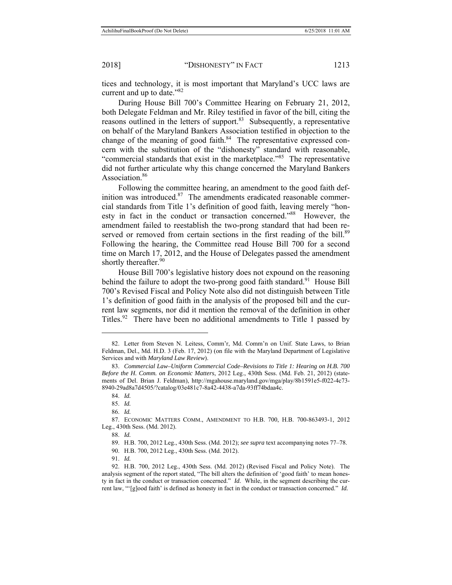tices and technology, it is most important that Maryland's UCC laws are current and up to date."<sup>82</sup>

During House Bill 700's Committee Hearing on February 21, 2012, both Delegate Feldman and Mr. Riley testified in favor of the bill, citing the reasons outlined in the letters of support. $83$  Subsequently, a representative on behalf of the Maryland Bankers Association testified in objection to the change of the meaning of good faith.<sup>84</sup> The representative expressed concern with the substitution of the "dishonesty" standard with reasonable, "commercial standards that exist in the marketplace."<sup>85</sup> The representative did not further articulate why this change concerned the Maryland Bankers Association.<sup>86</sup>

Following the committee hearing, an amendment to the good faith definition was introduced. $87$  The amendments eradicated reasonable commercial standards from Title 1's definition of good faith, leaving merely "honesty in fact in the conduct or transaction concerned."88 However, the amendment failed to reestablish the two-prong standard that had been reserved or removed from certain sections in the first reading of the bill.<sup>89</sup> Following the hearing, the Committee read House Bill 700 for a second time on March 17, 2012, and the House of Delegates passed the amendment shortly thereafter.<sup>90</sup>

House Bill 700's legislative history does not expound on the reasoning behind the failure to adopt the two-prong good faith standard.<sup>91</sup> House Bill 700's Revised Fiscal and Policy Note also did not distinguish between Title 1's definition of good faith in the analysis of the proposed bill and the current law segments, nor did it mention the removal of the definition in other Titles.<sup>92</sup> There have been no additional amendments to Title 1 passed by

 <sup>82.</sup> Letter from Steven N. Leitess, Comm'r, Md. Comm'n on Unif. State Laws, to Brian Feldman, Del., Md. H.D. 3 (Feb. 17, 2012) (on file with the Maryland Department of Legislative Services and with *Maryland Law Review*).

 <sup>83.</sup> *Commercial Law–Uniform Commercial Code–Revisions to Title 1: Hearing on H.B. 700 Before the H. Comm. on Economic Matters*, 2012 Leg., 430th Sess. (Md. Feb. 21, 2012) (statements of Del. Brian J. Feldman), http://mgahouse.maryland.gov/mga/play/8b1591e5-f022-4c73- 8940-29ad8a7d4505/?catalog/03e481c7-8a42-4438-a7da-93ff74bdaa4c.

 <sup>84.</sup> *Id.* 

 <sup>85.</sup> *Id.*

 <sup>86.</sup> *Id.*

 <sup>87.</sup> ECONOMIC MATTERS COMM., AMENDMENT TO H.B. 700, H.B. 700-863493-1, 2012 Leg., 430th Sess. (Md. 2012).

 <sup>88.</sup> *Id.*

 <sup>89.</sup> H.B. 700, 2012 Leg., 430th Sess. (Md. 2012); *see supra* text accompanying notes 77–78.

 <sup>90.</sup> H.B. 700, 2012 Leg., 430th Sess. (Md. 2012).

 <sup>91.</sup> *Id.* 

 <sup>92.</sup> H.B. 700, 2012 Leg., 430th Sess. (Md. 2012) (Revised Fiscal and Policy Note). The analysis segment of the report stated, "The bill alters the definition of 'good faith' to mean honesty in fact in the conduct or transaction concerned." *Id.* While, in the segment describing the current law, "'[g]ood faith' is defined as honesty in fact in the conduct or transaction concerned." *Id.*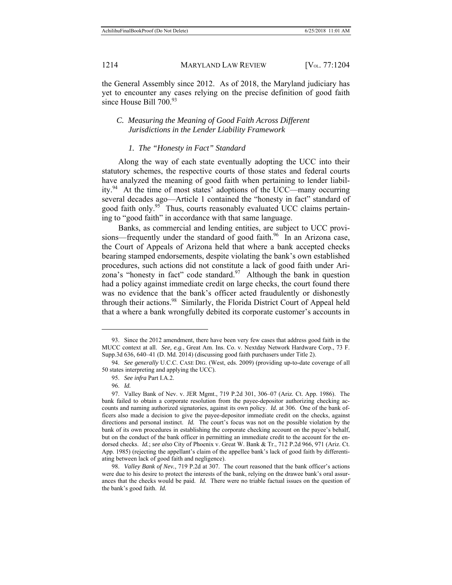the General Assembly since 2012. As of 2018, the Maryland judiciary has yet to encounter any cases relying on the precise definition of good faith since House Bill 700.<sup>93</sup>

### *C. Measuring the Meaning of Good Faith Across Different Jurisdictions in the Lender Liability Framework*

#### *1. The "Honesty in Fact" Standard*

Along the way of each state eventually adopting the UCC into their statutory schemes, the respective courts of those states and federal courts have analyzed the meaning of good faith when pertaining to lender liability.94 At the time of most states' adoptions of the UCC—many occurring several decades ago—Article 1 contained the "honesty in fact" standard of good faith only.<sup>95</sup> Thus, courts reasonably evaluated UCC claims pertaining to "good faith" in accordance with that same language.

Banks, as commercial and lending entities, are subject to UCC provisions—frequently under the standard of good faith.<sup>96</sup> In an Arizona case, the Court of Appeals of Arizona held that where a bank accepted checks bearing stamped endorsements, despite violating the bank's own established procedures, such actions did not constitute a lack of good faith under Arizona's "honesty in fact" code standard. $97$  Although the bank in question had a policy against immediate credit on large checks, the court found there was no evidence that the bank's officer acted fraudulently or dishonestly through their actions.<sup>98</sup> Similarly, the Florida District Court of Appeal held that a where a bank wrongfully debited its corporate customer's accounts in

 <sup>93.</sup> Since the 2012 amendment, there have been very few cases that address good faith in the MUCC context at all. *See, e.g.*, Great Am. Ins. Co. v. Nextday Network Hardware Corp., 73 F. Supp.3d 636, 640–41 (D. Md. 2014) (discussing good faith purchasers under Title 2).

 <sup>94.</sup> *See generally* U.C.C. CASE DIG. (West, eds. 2009) (providing up-to-date coverage of all 50 states interpreting and applying the UCC).

 <sup>95.</sup> *See infra* Part I.A.2.

 <sup>96.</sup> *Id.* 

 <sup>97.</sup> Valley Bank of Nev. v. JER Mgmt., 719 P.2d 301, 306–07 (Ariz. Ct. App. 1986). The bank failed to obtain a corporate resolution from the payee-depositor authorizing checking accounts and naming authorized signatories, against its own policy. *Id.* at 306. One of the bank officers also made a decision to give the payee-depositor immediate credit on the checks, against directions and personal instinct. *Id.* The court's focus was not on the possible violation by the bank of its own procedures in establishing the corporate checking account on the payee's behalf, but on the conduct of the bank officer in permitting an immediate credit to the account for the endorsed checks. *Id.*; *see also* City of Phoenix v. Great W. Bank & Tr., 712 P.2d 966, 971 (Ariz. Ct. App. 1985) (rejecting the appellant's claim of the appellee bank's lack of good faith by differentiating between lack of good faith and negligence).

 <sup>98.</sup> *Valley Bank of Nev.*, 719 P.2d at 307. The court reasoned that the bank officer's actions were due to his desire to protect the interests of the bank, relying on the drawee bank's oral assurances that the checks would be paid. *Id.* There were no triable factual issues on the question of the bank's good faith. *Id.*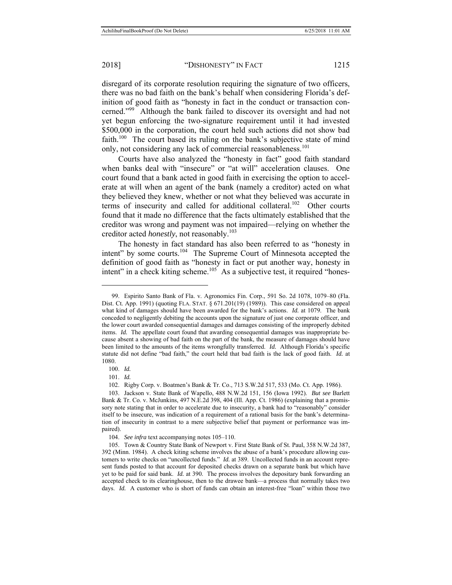disregard of its corporate resolution requiring the signature of two officers, there was no bad faith on the bank's behalf when considering Florida's definition of good faith as "honesty in fact in the conduct or transaction concerned."<sup>99</sup> Although the bank failed to discover its oversight and had not yet begun enforcing the two-signature requirement until it had invested \$500,000 in the corporation, the court held such actions did not show bad faith.<sup>100</sup> The court based its ruling on the bank's subjective state of mind only, not considering any lack of commercial reasonableness.<sup>101</sup>

Courts have also analyzed the "honesty in fact" good faith standard when banks deal with "insecure" or "at will" acceleration clauses. One court found that a bank acted in good faith in exercising the option to accelerate at will when an agent of the bank (namely a creditor) acted on what they believed they knew, whether or not what they believed was accurate in terms of insecurity and called for additional collateral.<sup>102</sup> Other courts found that it made no difference that the facts ultimately established that the creditor was wrong and payment was not impaired—relying on whether the creditor acted *honestly*, not reasonably.103

The honesty in fact standard has also been referred to as "honesty in intent" by some courts.104 The Supreme Court of Minnesota accepted the definition of good faith as "honesty in fact or put another way, honesty in intent" in a check kiting scheme.<sup>105</sup> As a subjective test, it required "hones-

100. *Id.*

 $\overline{a}$ 

101. *Id.*

102. Rigby Corp. v. Boatmen's Bank & Tr. Co., 713 S.W.2d 517, 533 (Mo. Ct. App. 1986).

 <sup>99.</sup> Espirito Santo Bank of Fla. v. Agronomics Fin. Corp., 591 So. 2d 1078, 1079–80 (Fla. Dist. Ct. App. 1991) (quoting FLA. STAT. § 671.201(19) (1989)). This case considered on appeal what kind of damages should have been awarded for the bank's actions. *Id.* at 1079. The bank conceded to negligently debiting the accounts upon the signature of just one corporate officer, and the lower court awarded consequential damages and damages consisting of the improperly debited items. *Id.* The appellate court found that awarding consequential damages was inappropriate because absent a showing of bad faith on the part of the bank, the measure of damages should have been limited to the amounts of the items wrongfully transferred. *Id.* Although Florida's specific statute did not define "bad faith," the court held that bad faith is the lack of good faith. *Id.* at 1080.

 <sup>103.</sup> Jackson v. State Bank of Wapello, 488 N.W.2d 151, 156 (Iowa 1992). *But see* Barlett Bank & Tr. Co. v. McJunkins, 497 N.E.2d 398, 404 (Ill. App. Ct. 1986) (explaining that a promissory note stating that in order to accelerate due to insecurity, a bank had to "reasonably" consider itself to be insecure, was indication of a requirement of a rational basis for the bank's determination of insecurity in contrast to a mere subjective belief that payment or performance was impaired).

 <sup>104.</sup> *See infra* text accompanying notes 105–110.

 <sup>105.</sup> Town & Country State Bank of Newport v. First State Bank of St. Paul, 358 N.W.2d 387, 392 (Minn. 1984). A check kiting scheme involves the abuse of a bank's procedure allowing customers to write checks on "uncollected funds." *Id.* at 389. Uncollected funds in an account represent funds posted to that account for deposited checks drawn on a separate bank but which have yet to be paid for said bank. *Id.* at 390. The process involves the depositary bank forwarding an accepted check to its clearinghouse, then to the drawee bank—a process that normally takes two days. *Id.* A customer who is short of funds can obtain an interest-free "loan" within those two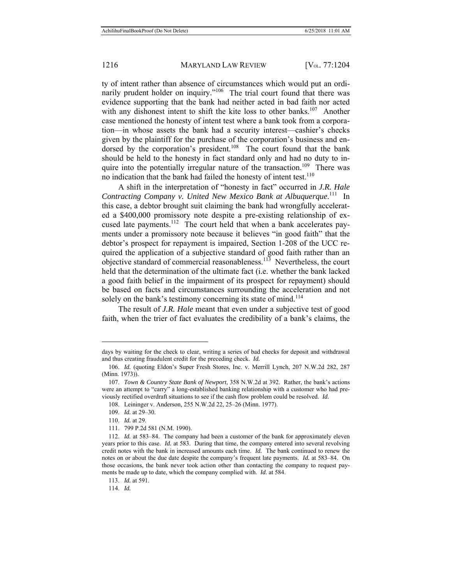ty of intent rather than absence of circumstances which would put an ordinarily prudent holder on inquiry."<sup>106</sup> The trial court found that there was evidence supporting that the bank had neither acted in bad faith nor acted with any dishonest intent to shift the kite loss to other banks.<sup>107</sup> Another case mentioned the honesty of intent test where a bank took from a corporation—in whose assets the bank had a security interest—cashier's checks given by the plaintiff for the purchase of the corporation's business and endorsed by the corporation's president.<sup>108</sup> The court found that the bank should be held to the honesty in fact standard only and had no duty to inquire into the potentially irregular nature of the transaction.<sup>109</sup> There was no indication that the bank had failed the honesty of intent test.<sup>110</sup>

A shift in the interpretation of "honesty in fact" occurred in *J.R. Hale Contracting Company v. United New Mexico Bank at Albuquerque*. 111 In this case, a debtor brought suit claiming the bank had wrongfully accelerated a \$400,000 promissory note despite a pre-existing relationship of excused late payments.<sup>112</sup> The court held that when a bank accelerates payments under a promissory note because it believes "in good faith" that the debtor's prospect for repayment is impaired, Section 1-208 of the UCC required the application of a subjective standard of good faith rather than an objective standard of commercial reasonableness.113 Nevertheless, the court held that the determination of the ultimate fact (i.e. whether the bank lacked a good faith belief in the impairment of its prospect for repayment) should be based on facts and circumstances surrounding the acceleration and not solely on the bank's testimony concerning its state of mind.<sup>114</sup>

The result of *J.R. Hale* meant that even under a subjective test of good faith, when the trier of fact evaluates the credibility of a bank's claims, the

 $\overline{a}$ 

114. *Id.*

days by waiting for the check to clear, writing a series of bad checks for deposit and withdrawal and thus creating fraudulent credit for the preceding check. *Id.* 

 <sup>106.</sup> *Id.* (quoting Eldon's Super Fresh Stores, Inc. v. Merrill Lynch, 207 N.W.2d 282, 287 (Minn. 1973)).

 <sup>107.</sup> *Town & Country State Bank of Newport*, 358 N.W.2d at 392. Rather, the bank's actions were an attempt to "carry" a long-established banking relationship with a customer who had previously rectified overdraft situations to see if the cash flow problem could be resolved. *Id.*

 <sup>108.</sup> Leininger v. Anderson*,* 255 N.W.2d 22, 25–26 (Minn. 1977).

 <sup>109.</sup> *Id.* at 29–30.

 <sup>110.</sup> *Id.* at 29.

 <sup>111. 799</sup> P.2d 581 (N.M. 1990).

 <sup>112.</sup> *Id.* at 583–84. The company had been a customer of the bank for approximately eleven years prior to this case. *Id.* at 583. During that time, the company entered into several revolving credit notes with the bank in increased amounts each time. *Id.* The bank continued to renew the notes on or about the due date despite the company's frequent late payments. *Id.* at 583–84. On those occasions, the bank never took action other than contacting the company to request payments be made up to date, which the company complied with. *Id.* at 584.

 <sup>113.</sup> *Id.* at 591.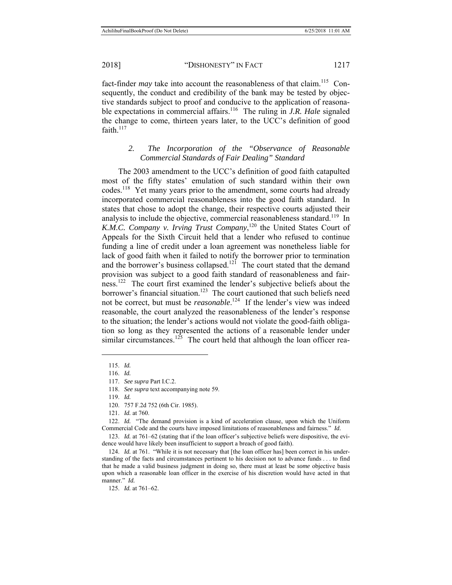fact-finder *may* take into account the reasonableness of that claim.<sup>115</sup> Consequently, the conduct and credibility of the bank may be tested by objective standards subject to proof and conducive to the application of reasonable expectations in commercial affairs.<sup>116</sup> The ruling in *J.R. Hale* signaled the change to come, thirteen years later, to the UCC's definition of good faith. $117$ 

> *2. The Incorporation of the "Observance of Reasonable Commercial Standards of Fair Dealing" Standard*

The 2003 amendment to the UCC's definition of good faith catapulted most of the fifty states' emulation of such standard within their own codes.118 Yet many years prior to the amendment, some courts had already incorporated commercial reasonableness into the good faith standard. In states that chose to adopt the change, their respective courts adjusted their analysis to include the objective, commercial reasonableness standard.<sup>119</sup> In K.M.C. Company v. Irving Trust Company,<sup>120</sup> the United States Court of Appeals for the Sixth Circuit held that a lender who refused to continue funding a line of credit under a loan agreement was nonetheless liable for lack of good faith when it failed to notify the borrower prior to termination and the borrower's business collapsed.<sup>121</sup> The court stated that the demand provision was subject to a good faith standard of reasonableness and fairness.<sup>122</sup> The court first examined the lender's subjective beliefs about the borrower's financial situation.<sup>123</sup> The court cautioned that such beliefs need not be correct, but must be *reasonable*. 124 If the lender's view was indeed reasonable, the court analyzed the reasonableness of the lender's response to the situation; the lender's actions would not violate the good-faith obligation so long as they represented the actions of a reasonable lender under similar circumstances.<sup>125</sup> The court held that although the loan officer rea-

 <sup>115.</sup> *Id.*

 <sup>116.</sup> *Id.*

 <sup>117.</sup> *See supra* Part I.C.2.

 <sup>118.</sup> *See supra* text accompanying note 59.

 <sup>119.</sup> *Id.* 

 <sup>120. 757</sup> F.2d 752 (6th Cir. 1985).

 <sup>121.</sup> *Id.* at 760.

 <sup>122.</sup> *Id.* "The demand provision is a kind of acceleration clause, upon which the Uniform Commercial Code and the courts have imposed limitations of reasonableness and fairness." *Id.*

 <sup>123.</sup> *Id.* at 761–62 (stating that if the loan officer's subjective beliefs were dispositive, the evidence would have likely been insufficient to support a breach of good faith).

<sup>124.</sup> *Id.* at 761. "While it is not necessary that [the loan officer has] been correct in his understanding of the facts and circumstances pertinent to his decision not to advance funds . . . to find that he made a valid business judgment in doing so, there must at least be *some* objective basis upon which a reasonable loan officer in the exercise of his discretion would have acted in that manner." *Id.*

 <sup>125.</sup> *Id.* at 761–62.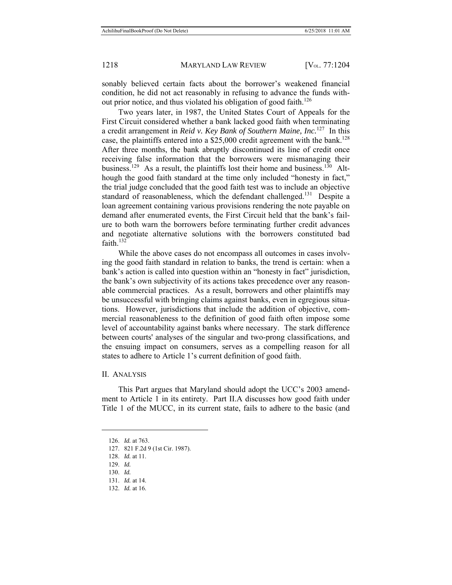sonably believed certain facts about the borrower's weakened financial condition, he did not act reasonably in refusing to advance the funds without prior notice, and thus violated his obligation of good faith.<sup>126</sup>

Two years later, in 1987, the United States Court of Appeals for the First Circuit considered whether a bank lacked good faith when terminating a credit arrangement in *Reid v. Key Bank of Southern Maine, Inc.*127 In this case, the plaintiffs entered into a  $$25,000$  credit agreement with the bank.<sup>128</sup> After three months, the bank abruptly discontinued its line of credit once receiving false information that the borrowers were mismanaging their business.<sup>129</sup> As a result, the plaintiffs lost their home and business.<sup>130</sup> Although the good faith standard at the time only included "honesty in fact," the trial judge concluded that the good faith test was to include an objective standard of reasonableness, which the defendant challenged.<sup>131</sup> Despite a loan agreement containing various provisions rendering the note payable on demand after enumerated events, the First Circuit held that the bank's failure to both warn the borrowers before terminating further credit advances and negotiate alternative solutions with the borrowers constituted bad faith.<sup>132</sup>

While the above cases do not encompass all outcomes in cases involving the good faith standard in relation to banks, the trend is certain: when a bank's action is called into question within an "honesty in fact" jurisdiction, the bank's own subjectivity of its actions takes precedence over any reasonable commercial practices. As a result, borrowers and other plaintiffs may be unsuccessful with bringing claims against banks, even in egregious situations. However, jurisdictions that include the addition of objective, commercial reasonableness to the definition of good faith often impose some level of accountability against banks where necessary. The stark difference between courts' analyses of the singular and two-prong classifications, and the ensuing impact on consumers, serves as a compelling reason for all states to adhere to Article 1's current definition of good faith.

#### II. ANALYSIS

This Part argues that Maryland should adopt the UCC's 2003 amendment to Article 1 in its entirety. Part II.A discusses how good faith under Title 1 of the MUCC, in its current state, fails to adhere to the basic (and

 <sup>126.</sup> *Id.* at 763.

 <sup>127. 821</sup> F.2d 9 (1st Cir. 1987).

 <sup>128.</sup> *Id.* at 11.

 <sup>129.</sup> *Id.*

 <sup>130.</sup> *Id.*

 <sup>131.</sup> *Id.* at 14.

 <sup>132.</sup> *Id.* at 16.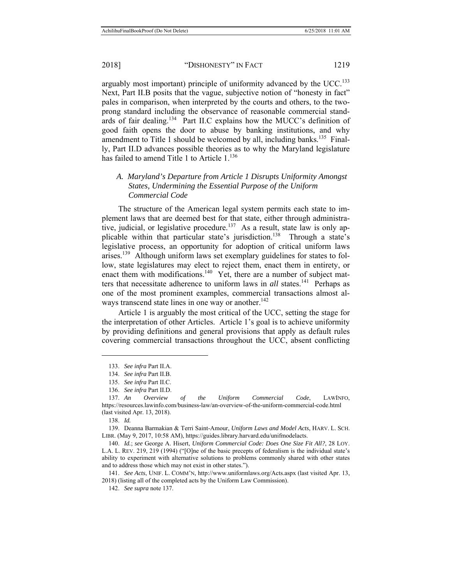arguably most important) principle of uniformity advanced by the UCC.<sup>133</sup> Next, Part II.B posits that the vague, subjective notion of "honesty in fact" pales in comparison, when interpreted by the courts and others, to the twoprong standard including the observance of reasonable commercial standards of fair dealing.<sup>134</sup> Part II.C explains how the MUCC's definition of good faith opens the door to abuse by banking institutions, and why amendment to Title 1 should be welcomed by all, including banks.<sup>135</sup> Finally, Part II.D advances possible theories as to why the Maryland legislature has failed to amend Title 1 to Article 1.<sup>136</sup>

### *A. Maryland's Departure from Article 1 Disrupts Uniformity Amongst States, Undermining the Essential Purpose of the Uniform Commercial Code*

The structure of the American legal system permits each state to implement laws that are deemed best for that state, either through administrative, judicial, or legislative procedure.<sup>137</sup> As a result, state law is only applicable within that particular state's jurisdiction.<sup>138</sup> Through a state's legislative process, an opportunity for adoption of critical uniform laws arises.<sup>139</sup> Although uniform laws set exemplary guidelines for states to follow, state legislatures may elect to reject them, enact them in entirety, or enact them with modifications.<sup>140</sup> Yet, there are a number of subject matters that necessitate adherence to uniform laws in *all* states.<sup>141</sup> Perhaps as one of the most prominent examples, commercial transactions almost always transcend state lines in one way or another. $142$ 

Article 1 is arguably the most critical of the UCC, setting the stage for the interpretation of other Articles. Article 1's goal is to achieve uniformity by providing definitions and general provisions that apply as default rules covering commercial transactions throughout the UCC, absent conflicting

 $\overline{a}$ 

 141. *See Acts*, UNIF. L. COMM'N, http://www.uniformlaws.org/Acts.aspx (last visited Apr. 13, 2018) (listing all of the completed acts by the Uniform Law Commission).

 <sup>133.</sup> *See infra* Part II.A.

 <sup>134.</sup> *See infra* Part II.B.

 <sup>135.</sup> *See infra* Part II.C.

 <sup>136.</sup> *See infra* Part II.D.

 <sup>137.</sup> *An Overview of the Uniform Commercial Code*, LAWINFO, https://resources.lawinfo.com/business-law/an-overview-of-the-uniform-commercial-code.html (last visited Apr. 13, 2018).

 <sup>138.</sup> *Id.*

 <sup>139.</sup> Deanna Barmakian & Terri Saint-Amour, *Uniform Laws and Model Acts*, HARV. L. SCH. LIBR. (May 9, 2017, 10:58 AM), https://guides.library.harvard.edu/unifmodelacts.

 <sup>140.</sup> *Id.*; *see* George A. Hisert, *Uniform Commercial Code: Does One Size Fit All?*, 28 LOY. L.A. L. REV. 219, 219 (1994) ("[O]ne of the basic precepts of federalism is the individual state's ability to experiment with alternative solutions to problems commonly shared with other states and to address those which may not exist in other states.").

 <sup>142.</sup> *See supra* note 137.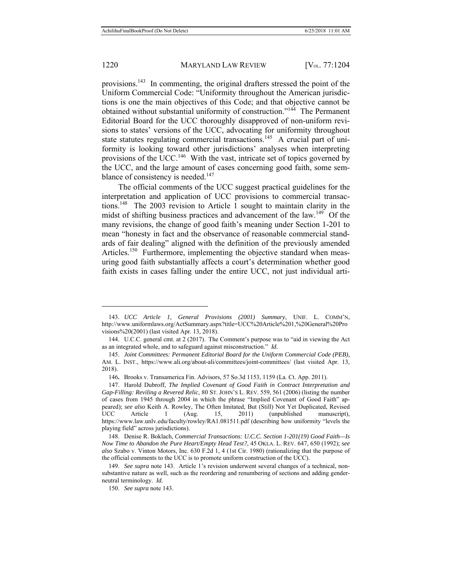$\overline{a}$ 

### 1220 MARYLAND LAW REVIEW [V<sub>OL.</sub> 77:1204]

provisions.143 In commenting, the original drafters stressed the point of the Uniform Commercial Code: "Uniformity throughout the American jurisdictions is one the main objectives of this Code; and that objective cannot be obtained without substantial uniformity of construction."144 The Permanent Editorial Board for the UCC thoroughly disapproved of non-uniform revisions to states' versions of the UCC, advocating for uniformity throughout state statutes regulating commercial transactions.<sup>145</sup> A crucial part of uniformity is looking toward other jurisdictions' analyses when interpreting provisions of the UCC.<sup>146</sup> With the vast, intricate set of topics governed by the UCC, and the large amount of cases concerning good faith, some semblance of consistency is needed.<sup>147</sup>

The official comments of the UCC suggest practical guidelines for the interpretation and application of UCC provisions to commercial transactions.148 The 2003 revision to Article 1 sought to maintain clarity in the midst of shifting business practices and advancement of the law.<sup>149</sup> Of the many revisions, the change of good faith's meaning under Section 1-201 to mean "honesty in fact and the observance of reasonable commercial standards of fair dealing" aligned with the definition of the previously amended Articles.<sup>150</sup> Furthermore, implementing the objective standard when measuring good faith substantially affects a court's determination whether good faith exists in cases falling under the entire UCC, not just individual arti-

 <sup>143.</sup> *UCC Article 1, General Provisions (2001) Summary*, UNIF. L. COMM'N, http://www.uniformlaws.org/ActSummary.aspx?title=UCC%20Article%201,%20General%20Pro visions%20(2001) (last visited Apr. 13, 2018).

 <sup>144.</sup> U.C.C. general cmt. at 2 (2017). The Comment's purpose was to "aid in viewing the Act as an integrated whole, and to safeguard against misconstruction." *Id.*

 <sup>145.</sup> *Joint Committees: Permanent Editorial Board for the Uniform Commercial Code (PEB)*, AM. L. INST., https://www.ali.org/about-ali/committees/joint-committees/ (last visited Apr. 13, 2018).

<sup>146</sup>**.** Brooks v. Transamerica Fin. Advisors, 57 So.3d 1153, 1159 (La. Ct. App. 2011).

 <sup>147.</sup> Harold Dubroff, *The Implied Covenant of Good Faith in Contract Interpretation and Gap-Filling: Reviling a Revered Relic*, 80 ST. JOHN'S L. REV. 559, 561 (2006) (listing the number of cases from 1945 through 2004 in which the phrase "Implied Covenant of Good Faith" appeared); *see also* Keith A. Rowley, The Often Imitated, But (Still) Not Yet Duplicated, Revised UCC Article 1 (Aug. 15, 2011) (unpublished manuscript), https://www.law.unlv.edu/faculty/rowley/RA1.081511.pdf (describing how uniformity "levels the playing field" across jurisdictions).

 <sup>148.</sup> Denise R. Boklach, *Commercial Transactions: U.C.C. Section 1-201(19) Good Faith—Is Now Time to Abandon the Pure Heart/Empty Head Test?*, 45 OKLA. L. REV. 647, 650 (1992); *see also* Szabo v. Vinton Motors, Inc. 630 F.2d 1, 4 (1st Cir. 1980) (rationalizing that the purpose of the official comments to the UCC is to promote uniform construction of the UCC).

 <sup>149.</sup> *See supra* note 143. Article 1's revision underwent several changes of a technical, nonsubstantive nature as well, such as the reordering and renumbering of sections and adding genderneutral terminology. *Id.*

 <sup>150.</sup> *See supra* note 143.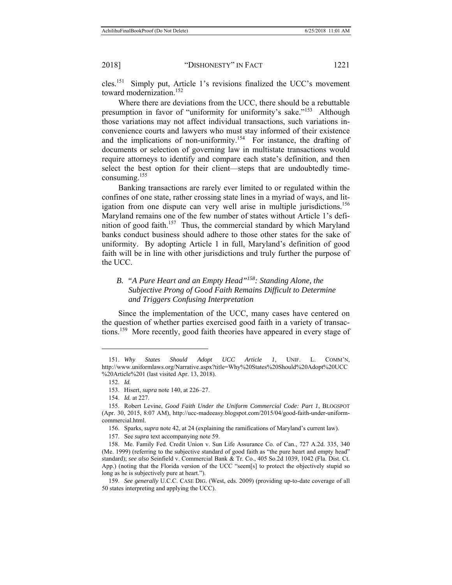cles.151 Simply put, Article 1's revisions finalized the UCC's movement toward modernization.<sup>152</sup>

Where there are deviations from the UCC, there should be a rebuttable presumption in favor of "uniformity for uniformity's sake."<sup>153</sup> Although those variations may not affect individual transactions, such variations inconvenience courts and lawyers who must stay informed of their existence and the implications of non-uniformity.<sup>154</sup> For instance, the drafting of documents or selection of governing law in multistate transactions would require attorneys to identify and compare each state's definition, and then select the best option for their client—steps that are undoubtedly timeconsuming.155

Banking transactions are rarely ever limited to or regulated within the confines of one state, rather crossing state lines in a myriad of ways, and litigation from one dispute can very well arise in multiple jurisdictions.<sup>156</sup> Maryland remains one of the few number of states without Article 1's definition of good faith.<sup>157</sup> Thus, the commercial standard by which Maryland banks conduct business should adhere to those other states for the sake of uniformity. By adopting Article 1 in full, Maryland's definition of good faith will be in line with other jurisdictions and truly further the purpose of the UCC.

## *B. "A Pure Heart and an Empty Head"158: Standing Alone, the Subjective Prong of Good Faith Remains Difficult to Determine and Triggers Confusing Interpretation*

Since the implementation of the UCC, many cases have centered on the question of whether parties exercised good faith in a variety of transactions.159 More recently, good faith theories have appeared in every stage of

 <sup>151.</sup> *Why States Should Adopt UCC Article 1*, UNIF. L. COMM'N, http://www.uniformlaws.org/Narrative.aspx?title=Why%20States%20Should%20Adopt%20UCC %20Article%201 (last visited Apr. 13, 2018).

 <sup>152.</sup> *Id.*

 <sup>153.</sup> Hisert, *supra* note 140, at 226–27.

 <sup>154.</sup> *Id.* at 227.

 <sup>155.</sup> Robert Levine, *Good Faith Under the Uniform Commercial Code: Part 1*, BLOGSPOT (Apr. 30, 2015, 8:07 AM), http://ucc-madeeasy.blogspot.com/2015/04/good-faith-under-uniformcommercial.html.

 <sup>156.</sup> Sparks, *supra* note 42, at 24 (explaining the ramifications of Maryland's current law).

 <sup>157.</sup> See *supra* text accompanying note 59.

 <sup>158.</sup> Me. Family Fed. Credit Union v. Sun Life Assurance Co. of Can., 727 A.2d. 335, 340 (Me. 1999) (referring to the subjective standard of good faith as "the pure heart and empty head" standard); *see also* Seinfield v. Commercial Bank & Tr. Co., 405 So.2d 1039, 1042 (Fla. Dist. Ct. App.) (noting that the Florida version of the UCC "seem[s] to protect the objectively stupid so long as he is subjectively pure at heart.").

 <sup>159.</sup> *See generally* U.C.C. CASE DIG. (West, eds. 2009) (providing up-to-date coverage of all 50 states interpreting and applying the UCC).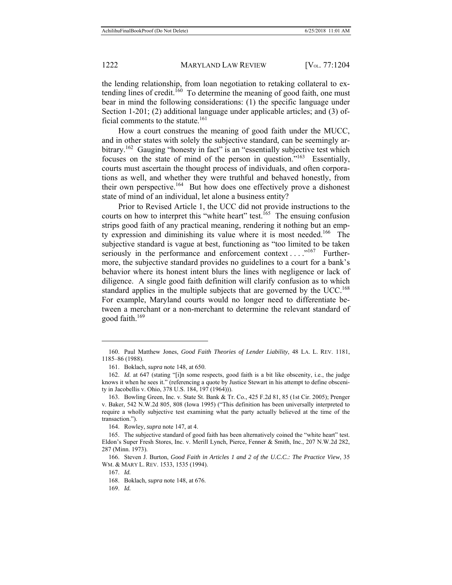the lending relationship, from loan negotiation to retaking collateral to extending lines of credit.<sup>160</sup> To determine the meaning of good faith, one must bear in mind the following considerations: (1) the specific language under Section 1-201; (2) additional language under applicable articles; and (3) official comments to the statute.<sup>161</sup>

How a court construes the meaning of good faith under the MUCC, and in other states with solely the subjective standard, can be seemingly arbitrary.<sup>162</sup> Gauging "honesty in fact" is an "essentially subjective test which focuses on the state of mind of the person in question."163 Essentially, courts must ascertain the thought process of individuals, and often corporations as well, and whether they were truthful and behaved honestly, from their own perspective.<sup>164</sup> But how does one effectively prove a dishonest state of mind of an individual, let alone a business entity?

Prior to Revised Article 1, the UCC did not provide instructions to the courts on how to interpret this "white heart" test.<sup>165</sup> The ensuing confusion strips good faith of any practical meaning, rendering it nothing but an empty expression and diminishing its value where it is most needed. 166 The subjective standard is vague at best, functioning as "too limited to be taken seriously in the performance and enforcement context . . . ."167 Furthermore, the subjective standard provides no guidelines to a court for a bank's behavior where its honest intent blurs the lines with negligence or lack of diligence. A single good faith definition will clarify confusion as to which standard applies in the multiple subjects that are governed by the  $UCC$ .<sup>168</sup> For example, Maryland courts would no longer need to differentiate between a merchant or a non-merchant to determine the relevant standard of good faith.169

164. Rowley, *supra* note 147, at 4.

 <sup>160.</sup> Paul Matthew Jones, *Good Faith Theories of Lender Liability*, 48 LA. L. REV. 1181, 1185–86 (1988).

 <sup>161.</sup> Boklach, *supra* note 148, at 650.

 <sup>162.</sup> *Id.* at 647 (stating "[i]n some respects, good faith is a bit like obscenity, i.e., the judge knows it when he sees it." (referencing a quote by Justice Stewart in his attempt to define obscenity in Jacobellis v. Ohio, 378 U.S. 184, 197 (1964))).

 <sup>163.</sup> Bowling Green, Inc. v. State St. Bank & Tr. Co., 425 F.2d 81, 85 (1st Cir. 2005); Prenger v. Baker, 542 N.W.2d 805, 808 (Iowa 1995) ("This definition has been universally interpreted to require a wholly subjective test examining what the party actually believed at the time of the transaction.").

 <sup>165.</sup> The subjective standard of good faith has been alternatively coined the "white heart" test. Eldon's Super Fresh Stores, Inc. v. Merill Lynch, Pierce, Fenner & Smith, Inc., 207 N.W.2d 282, 287 (Minn. 1973).

 <sup>166.</sup> Steven J. Burton, *Good Faith in Articles 1 and 2 of the U.C.C.: The Practice View*, 35 WM. & MARY L. REV. 1533, 1535 (1994).

 <sup>167.</sup> *Id.*

 <sup>168.</sup> Boklach, *supra* note 148, at 676.

 <sup>169.</sup> *Id.*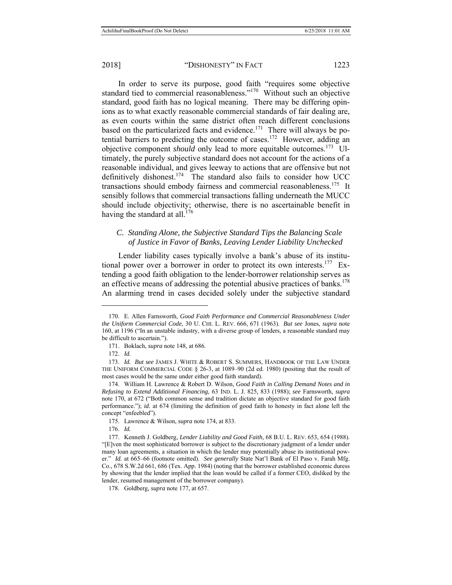In order to serve its purpose, good faith "requires some objective standard tied to commercial reasonableness."170 Without such an objective standard, good faith has no logical meaning. There may be differing opinions as to what exactly reasonable commercial standards of fair dealing are, as even courts within the same district often reach different conclusions based on the particularized facts and evidence.<sup>171</sup> There will always be potential barriers to predicting the outcome of cases.<sup>172</sup> However, adding an objective component *should* only lead to more equitable outcomes.<sup>173</sup> Ultimately, the purely subjective standard does not account for the actions of a reasonable individual, and gives leeway to actions that are offensive but not definitively dishonest.<sup>174</sup> The standard also fails to consider how UCC transactions should embody fairness and commercial reasonableness.<sup>175</sup> It sensibly follows that commercial transactions falling underneath the MUCC should include objectivity; otherwise, there is no ascertainable benefit in having the standard at all.<sup>176</sup>

### *C. Standing Alone, the Subjective Standard Tips the Balancing Scale of Justice in Favor of Banks, Leaving Lender Liability Unchecked*

Lender liability cases typically involve a bank's abuse of its institutional power over a borrower in order to protect its own interests.<sup>177</sup> Extending a good faith obligation to the lender-borrower relationship serves as an effective means of addressing the potential abusive practices of banks. $178$ An alarming trend in cases decided solely under the subjective standard

 <sup>170.</sup> E. Allen Farnsworth, *Good Faith Performance and Commercial Reasonableness Under the Uniform Commercial Code*, 30 U. CHI. L. REV. 666, 671 (1963). *But see* Jones, *supra* note 160, at 1196 ("In an unstable industry, with a diverse group of lenders, a reasonable standard may be difficult to ascertain.").

 <sup>171.</sup> Boklach, *supra* note 148, at 686.

 <sup>172.</sup> *Id.*

 <sup>173.</sup> *Id. But see* JAMES J. WHITE & ROBERT S. SUMMERS, HANDBOOK OF THE LAW UNDER THE UNIFORM COMMERCIAL CODE § 26-3, at 1089–90 (2d ed. 1980) (positing that the result of most cases would be the same under either good faith standard).

 <sup>174.</sup> William H. Lawrence & Robert D. Wilson, *Good Faith in Calling Demand Notes and in Refusing to Extend Additional Financing*, 63 IND. L. J. 825, 833 (1988); *see* Farnsworth, *supra* note 170, at 672 ("Both common sense and tradition dictate an objective standard for good faith performance."); *id.* at 674 (limiting the definition of good faith to honesty in fact alone left the concept "enfeebled").

 <sup>175.</sup> Lawrence & Wilson, *supra* note 174, at 833.

 <sup>176.</sup> *Id.*

 <sup>177.</sup> Kenneth J. Goldberg, *Lender Liability and Good Faith*, 68 B.U. L. REV. 653, 654 (1988). "[E]ven the most sophisticated borrower is subject to the discretionary judgment of a lender under many loan agreements, a situation in which the lender may potentially abuse its institutional power." *Id.* at 665–66 (footnote omitted). *See generally* State Nat'l Bank of El Paso v. Farah Mfg. Co., 678 S.W.2d 661, 686 (Tex. App. 1984) (noting that the borrower established economic duress by showing that the lender implied that the loan would be called if a former CEO, disliked by the lender, resumed management of the borrower company).

 <sup>178.</sup> Goldberg, *supra* note 177, at 657.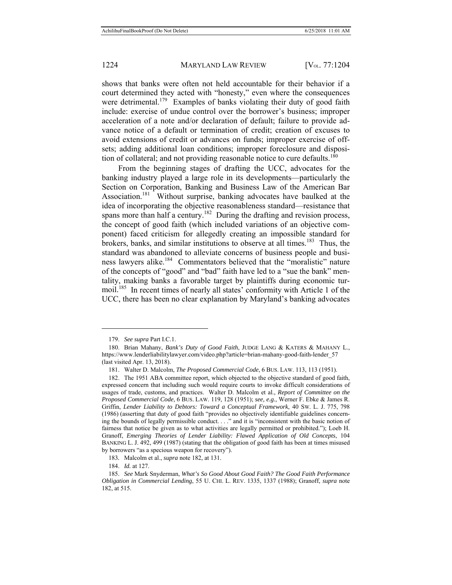shows that banks were often not held accountable for their behavior if a court determined they acted with "honesty," even where the consequences were detrimental.<sup>179</sup> Examples of banks violating their duty of good faith include: exercise of undue control over the borrower's business; improper acceleration of a note and/or declaration of default; failure to provide advance notice of a default or termination of credit; creation of excuses to avoid extensions of credit or advances on funds; improper exercise of offsets; adding additional loan conditions; improper foreclosure and disposition of collateral; and not providing reasonable notice to cure defaults.<sup>180</sup>

From the beginning stages of drafting the UCC, advocates for the banking industry played a large role in its developments—particularly the Section on Corporation, Banking and Business Law of the American Bar Association.<sup>181</sup> Without surprise, banking advocates have baulked at the idea of incorporating the objective reasonableness standard—resistance that spans more than half a century.<sup>182</sup> During the drafting and revision process, the concept of good faith (which included variations of an objective component) faced criticism for allegedly creating an impossible standard for brokers, banks, and similar institutions to observe at all times.<sup>183</sup> Thus, the standard was abandoned to alleviate concerns of business people and business lawyers alike.184 Commentators believed that the "moralistic" nature of the concepts of "good" and "bad" faith have led to a "sue the bank" mentality, making banks a favorable target by plaintiffs during economic turmoil.185 In recent times of nearly all states' conformity with Article 1 of the UCC, there has been no clear explanation by Maryland's banking advocates

 $\overline{a}$ 

183*.* Malcolm et al., *supra* note 182, at 131.

184. *Id.* at 127.

 <sup>179.</sup> *See supra* Part I.C.1.

 <sup>180.</sup> Brian Mahany, *Bank's Duty of Good Faith*, JUDGE LANG & KATERS & MAHANY L., https://www.lenderliabilitylawyer.com/video.php?article=brian-mahany-good-faith-lender\_57 (last visited Apr. 13, 2018).

 <sup>181.</sup> Walter D. Malcolm, *The Proposed Commercial Code*, 6 BUS. LAW. 113, 113 (1951).

 <sup>182.</sup> The 1951 ABA committee report, which objected to the objective standard of good faith, expressed concern that including such would require courts to invoke difficult considerations of usages of trade, customs, and practices. Walter D. Malcolm et al., *Report of Committee on the Proposed Commercial Code*, 6 BUS. LAW. 119, 128 (1951); *see, e.g.*, Werner F. Ebke & James R. Griffin, *Lender Liability to Debtors: Toward a Conceptual Framework*, 40 SW. L. J. 775, 798 (1986) (asserting that duty of good faith "provides no objectively identifiable guidelines concerning the bounds of legally permissible conduct. . . ." and it is "inconsistent with the basic notion of fairness that notice be given as to what activities are legally permitted or prohibited."); Loeb H. Granoff, *Emerging Theories of Lender Liability: Flawed Application of Old Concepts*, 104 BANKING L. J. 492, 499 (1987) (stating that the obligation of good faith has been at times misused by borrowers "as a specious weapon for recovery").

 <sup>185.</sup> *See* Mark Snyderman, *What's So Good About Good Faith? The Good Faith Performance Obligation in Commercial Lending*, 55 U. CHI. L. REV. 1335, 1337 (1988); Granoff, *supra* note 182, at 515.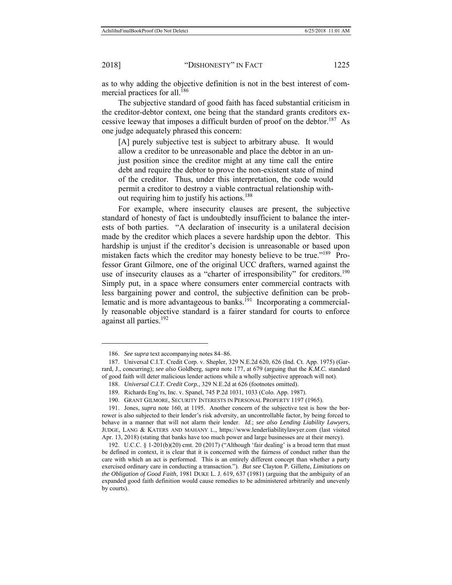$\overline{a}$ 

2018] "DISHONESTY" IN FACT 1225

as to why adding the objective definition is not in the best interest of commercial practices for all.<sup>186</sup>

The subjective standard of good faith has faced substantial criticism in the creditor-debtor context, one being that the standard grants creditors excessive leeway that imposes a difficult burden of proof on the debtor.<sup>187</sup> As one judge adequately phrased this concern:

[A] purely subjective test is subject to arbitrary abuse. It would allow a creditor to be unreasonable and place the debtor in an unjust position since the creditor might at any time call the entire debt and require the debtor to prove the non-existent state of mind of the creditor. Thus, under this interpretation, the code would permit a creditor to destroy a viable contractual relationship without requiring him to justify his actions.<sup>188</sup>

For example, where insecurity clauses are present, the subjective standard of honesty of fact is undoubtedly insufficient to balance the interests of both parties. "A declaration of insecurity is a unilateral decision made by the creditor which places a severe hardship upon the debtor. This hardship is unjust if the creditor's decision is unreasonable or based upon mistaken facts which the creditor may honesty believe to be true."189 Professor Grant Gilmore, one of the original UCC drafters, warned against the use of insecurity clauses as a "charter of irresponsibility" for creditors.<sup>190</sup> Simply put, in a space where consumers enter commercial contracts with less bargaining power and control, the subjective definition can be problematic and is more advantageous to banks.<sup> $191$ </sup> Incorporating a commercially reasonable objective standard is a fairer standard for courts to enforce against all parties.<sup>192</sup>

 <sup>186.</sup> *See supra* text accompanying notes 84–86.

 <sup>187.</sup> Universal C.I.T. Credit Corp. v. Shepler, 329 N.E.2d 620, 626 (Ind. Ct. App. 1975) (Garrard, J., concurring); *see also* Goldberg, *supra* note 177, at 679 (arguing that the *K.M.C.* standard of good faith will deter malicious lender actions while a wholly subjective approach will not).

 <sup>188.</sup> *Universal C.I.T. Credit Corp.*, 329 N.E.2d at 626 (footnotes omitted).

 <sup>189.</sup> Richards Eng'rs, Inc. v. Spanel, 745 P.2d 1031, 1033 (Colo. App. 1987).

 <sup>190.</sup> GRANT GILMORE, SECURITY INTERESTS IN PERSONAL PROPERTY 1197 (1965).

 <sup>191.</sup> Jones, *supra* note 160, at 1195. Another concern of the subjective test is how the borrower is also subjected to their lender's risk adversity, an uncontrollable factor, by being forced to behave in a manner that will not alarm their lender. *Id.*; *see also Lending Liability Lawyers*, JUDGE, LANG & KATERS AND MAHANY L., https://www.lenderliabilitylawyer.com (last visited Apr. 13, 2018) (stating that banks have too much power and large businesses are at their mercy).

<sup>192.</sup> U.C.C. § 1-201(b)(20) cmt. 20 (2017) ("Although 'fair dealing' is a broad term that must be defined in context, it is clear that it is concerned with the fairness of conduct rather than the care with which an act is performed. This is an entirely different concept than whether a party exercised ordinary care in conducting a transaction."). *But see* Clayton P. Gillette, *Limitations on the Obligation of Good Faith*, 1981 DUKE L. J. 619, 637 (1981) (arguing that the ambiguity of an expanded good faith definition would cause remedies to be administered arbitrarily and unevenly by courts).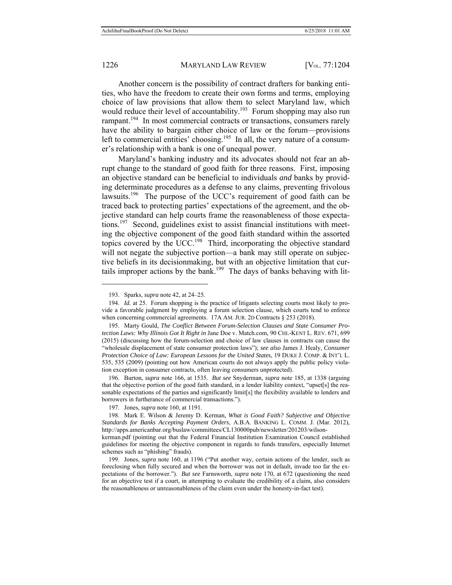$\overline{a}$ 

### 1226 MARYLAND LAW REVIEW [V<sub>OL.</sub> 77:1204]

Another concern is the possibility of contract drafters for banking entities, who have the freedom to create their own forms and terms, employing choice of law provisions that allow them to select Maryland law, which would reduce their level of accountability.<sup>193</sup> Forum shopping may also run rampant.<sup>194</sup> In most commercial contracts or transactions, consumers rarely have the ability to bargain either choice of law or the forum—provisions left to commercial entities' choosing.<sup>195</sup> In all, the very nature of a consumer's relationship with a bank is one of unequal power.

Maryland's banking industry and its advocates should not fear an abrupt change to the standard of good faith for three reasons. First, imposing an objective standard can be beneficial to individuals *and* banks by providing determinate procedures as a defense to any claims, preventing frivolous lawsuits.<sup>196</sup> The purpose of the UCC's requirement of good faith can be traced back to protecting parties' expectations of the agreement, and the objective standard can help courts frame the reasonableness of those expectations.197 Second, guidelines exist to assist financial institutions with meeting the objective component of the good faith standard within the assorted topics covered by the UCC.<sup>198</sup> Third, incorporating the objective standard will not negate the subjective portion—a bank may still operate on subjective beliefs in its decisionmaking, but with an objective limitation that curtails improper actions by the bank.<sup>199</sup> The days of banks behaving with lit-

 196. Burton, *supra* note 166, at 1535. *But see* Snyderman, *supra* note 185, at 1338 (arguing that the objective portion of the good faith standard, in a lender liability context, "upset[s] the reasonable expectations of the parties and significantly limit[s] the flexibility available to lenders and borrowers in furtherance of commercial transactions.").

 <sup>193.</sup> Sparks, *supra* note 42, at 24–25.

 <sup>194.</sup> *Id.* at 25. Forum shopping is the practice of litigants selecting courts most likely to provide a favorable judgment by employing a forum selection clause, which courts tend to enforce when concerning commercial agreements. 17A AM. JUR. 2D Contracts § 253 (2018).

 <sup>195.</sup> Marty Gould, *The Conflict Between Forum-Selection Clauses and State Consumer Protection Laws: Why Illinois Got It Right in* Jane Doe v. Match.com, 90 CHI.-KENT L. REV. 671, 699 (2015) (discussing how the forum-selection and choice of law clauses in contracts can cause the "wholesale displacement of state consumer protection laws"); *see also* James J. Healy, *Consumer Protection Choice of Law: European Lessons for the United States*, 19 DUKE J. COMP. & INT'L L. 535, 535 (2009) (pointing out how American courts do not always apply the public policy violation exception in consumer contracts, often leaving consumers unprotected).

 <sup>197.</sup> Jones, *supra* note 160, at 1191.

 <sup>198.</sup> Mark E. Wilson & Jeremy D. Kerman, *What is Good Faith? Subjective and Objective Standards for Banks Accepting Payment Orders*, A.B.A. BANKING L. COMM. J. (Mar. 2012), http://apps.americanbar.org/buslaw/committees/CL130000pub/newsletter/201203/wilson-

kerman.pdf (pointing out that the Federal Financial Institution Examination Council established guidelines for meeting the objective component in regards to funds transfers, especially Internet schemes such as "phishing" frauds).

 <sup>199.</sup> Jones, *supra* note 160, at 1196 ("Put another way, certain actions of the lender, such as foreclosing when fully secured and when the borrower was not in default, invade too far the expectations of the borrower."). *But see* Farnsworth, *supra* note 170, at 672 (questioning the need for an objective test if a court, in attempting to evaluate the credibility of a claim, also considers the reasonableness or unreasonableness of the claim even under the honesty-in-fact test).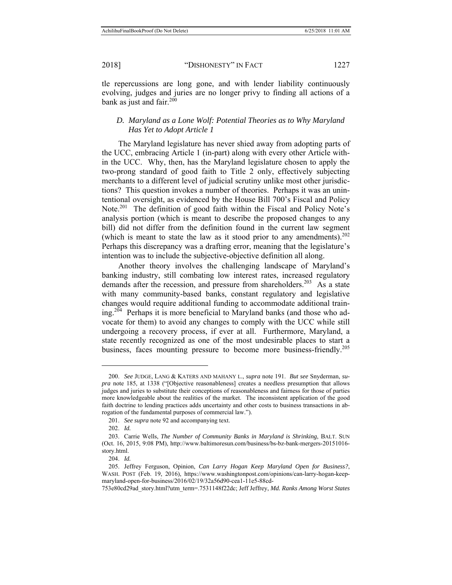tle repercussions are long gone, and with lender liability continuously evolving, judges and juries are no longer privy to finding all actions of a bank as just and fair. $200$ 

### *D. Maryland as a Lone Wolf: Potential Theories as to Why Maryland Has Yet to Adopt Article 1*

The Maryland legislature has never shied away from adopting parts of the UCC, embracing Article 1 (in-part) along with every other Article within the UCC. Why, then, has the Maryland legislature chosen to apply the two-prong standard of good faith to Title 2 only, effectively subjecting merchants to a different level of judicial scrutiny unlike most other jurisdictions? This question invokes a number of theories. Perhaps it was an unintentional oversight, as evidenced by the House Bill 700's Fiscal and Policy Note.<sup>201</sup> The definition of good faith within the Fiscal and Policy Note's analysis portion (which is meant to describe the proposed changes to any bill) did not differ from the definition found in the current law segment (which is meant to state the law as it stood prior to any amendments).  $202$ Perhaps this discrepancy was a drafting error, meaning that the legislature's intention was to include the subjective-objective definition all along.

Another theory involves the challenging landscape of Maryland's banking industry, still combating low interest rates, increased regulatory demands after the recession, and pressure from shareholders.<sup>203</sup> As a state with many community-based banks, constant regulatory and legislative changes would require additional funding to accommodate additional training.204 Perhaps it is more beneficial to Maryland banks (and those who advocate for them) to avoid any changes to comply with the UCC while still undergoing a recovery process, if ever at all. Furthermore, Maryland, a state recently recognized as one of the most undesirable places to start a business, faces mounting pressure to become more business-friendly.<sup>205</sup>

 <sup>200.</sup> *See* JUDGE, LANG & KATERS AND MAHANY L., *supra* note 191. *But see* Snyderman, *supra* note 185, at 1338 ("[Objective reasonableness] creates a needless presumption that allows judges and juries to substitute their conceptions of reasonableness and fairness for those of parties more knowledgeable about the realities of the market. The inconsistent application of the good faith doctrine to lending practices adds uncertainty and other costs to business transactions in abrogation of the fundamental purposes of commercial law.").

 <sup>201.</sup> *See supra* note 92 and accompanying text.

 <sup>202.</sup> *Id.*

 <sup>203.</sup> Carrie Wells, *The Number of Community Banks in Maryland is Shrinking*, BALT. SUN (Oct. 16, 2015, 9:08 PM), http://www.baltimoresun.com/business/bs-bz-bank-mergers-20151016 story.html.

 <sup>204.</sup> *Id.*

 <sup>205.</sup> Jeffrey Ferguson, Opinion, *Can Larry Hogan Keep Maryland Open for Business?*, WASH. POST (Feb. 19, 2016), https://www.washingtonpost.com/opinions/can-larry-hogan-keepmaryland-open-for-business/2016/02/19/32a56d90-cea1-11e5-88cd-

<sup>753</sup>e80cd29ad\_story.html?utm\_term=.7531148f22dc; Jeff Jeffrey, *Md. Ranks Among Worst States*